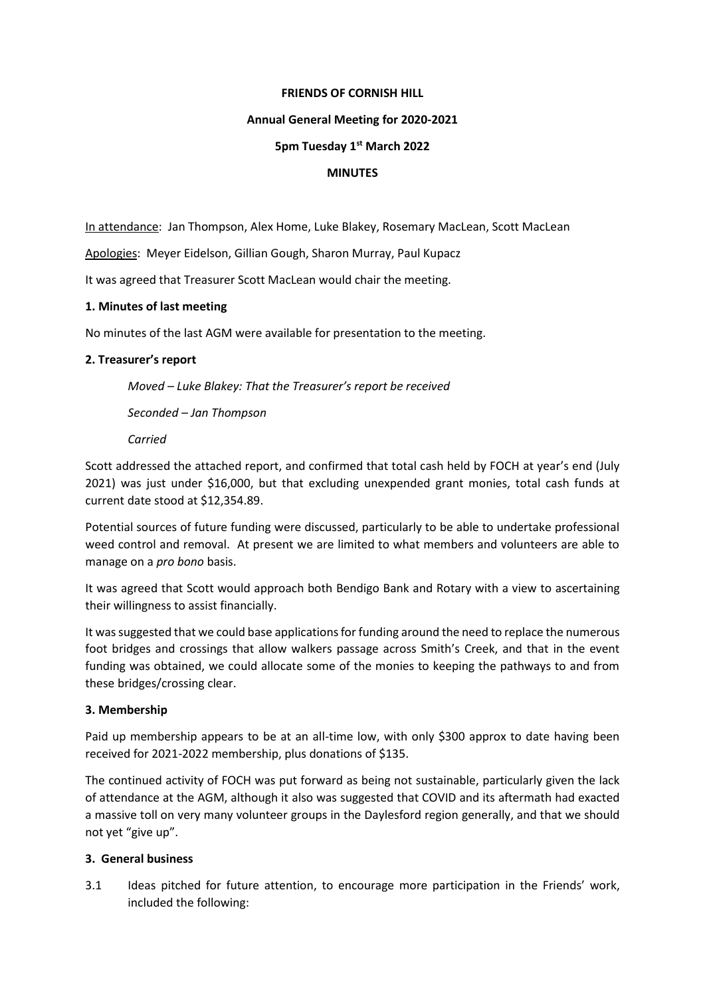#### **FRIENDS OF CORNISH HILL**

## **Annual General Meeting for 2020-2021**

## **5pm Tuesday 1st March 2022**

### **MINUTES**

In attendance: Jan Thompson, Alex Home, Luke Blakey, Rosemary MacLean, Scott MacLean

Apologies: Meyer Eidelson, Gillian Gough, Sharon Murray, Paul Kupacz

It was agreed that Treasurer Scott MacLean would chair the meeting.

#### **1. Minutes of last meeting**

No minutes of the last AGM were available for presentation to the meeting.

## **2. Treasurer's report**

*Moved – Luke Blakey: That the Treasurer's report be received*

*Seconded – Jan Thompson*

*Carried*

Scott addressed the attached report, and confirmed that total cash held by FOCH at year's end (July 2021) was just under \$16,000, but that excluding unexpended grant monies, total cash funds at current date stood at \$12,354.89.

Potential sources of future funding were discussed, particularly to be able to undertake professional weed control and removal. At present we are limited to what members and volunteers are able to manage on a *pro bono* basis.

It was agreed that Scott would approach both Bendigo Bank and Rotary with a view to ascertaining their willingness to assist financially.

It was suggested that we could base applications for funding around the need to replace the numerous foot bridges and crossings that allow walkers passage across Smith's Creek, and that in the event funding was obtained, we could allocate some of the monies to keeping the pathways to and from these bridges/crossing clear.

## **3. Membership**

Paid up membership appears to be at an all-time low, with only \$300 approx to date having been received for 2021-2022 membership, plus donations of \$135.

The continued activity of FOCH was put forward as being not sustainable, particularly given the lack of attendance at the AGM, although it also was suggested that COVID and its aftermath had exacted a massive toll on very many volunteer groups in the Daylesford region generally, and that we should not yet "give up".

## **3. General business**

3.1 Ideas pitched for future attention, to encourage more participation in the Friends' work, included the following: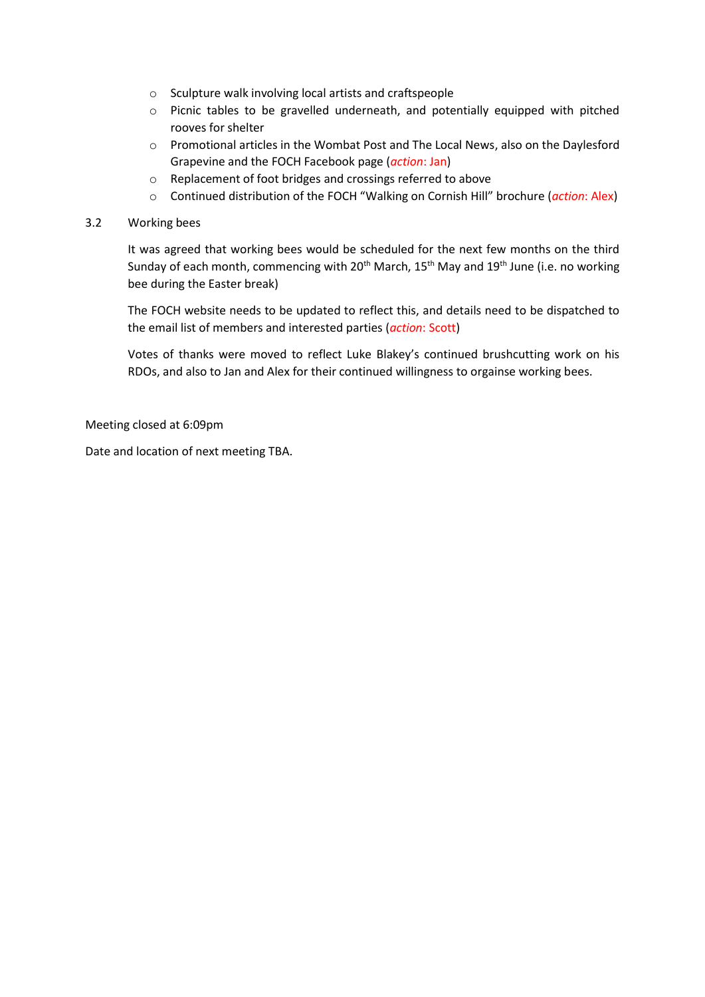- o Sculpture walk involving local artists and craftspeople
- o Picnic tables to be gravelled underneath, and potentially equipped with pitched rooves for shelter
- o Promotional articles in the Wombat Post and The Local News, also on the Daylesford Grapevine and the FOCH Facebook page (*action*: Jan)
- o Replacement of foot bridges and crossings referred to above
- o Continued distribution of the FOCH "Walking on Cornish Hill" brochure (*action*: Alex)

# 3.2 Working bees

It was agreed that working bees would be scheduled for the next few months on the third Sunday of each month, commencing with 20<sup>th</sup> March, 15<sup>th</sup> May and 19<sup>th</sup> June (i.e. no working bee during the Easter break)

The FOCH website needs to be updated to reflect this, and details need to be dispatched to the email list of members and interested parties (*action*: Scott)

Votes of thanks were moved to reflect Luke Blakey's continued brushcutting work on his RDOs, and also to Jan and Alex for their continued willingness to orgainse working bees.

Meeting closed at 6:09pm

Date and location of next meeting TBA.